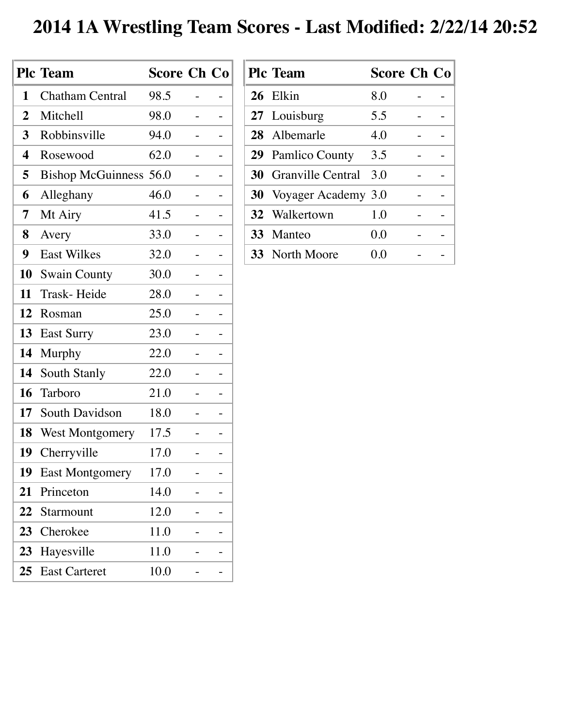## **2014 1A Wrestling Team Scores - Last Modified: 2/22/14 20:52**

|                | <b>Plc Team</b>               | <b>Score Ch Co</b> |  |
|----------------|-------------------------------|--------------------|--|
| 1              | <b>Chatham Central</b>        | 98.5               |  |
| $\overline{2}$ | Mitchell                      | 98.0               |  |
| $\mathbf{3}$   | Robbinsville                  | 94.0               |  |
| 4              | Rosewood                      | 62.0               |  |
| 5              | <b>Bishop McGuinness 56.0</b> |                    |  |
| 6              | Alleghany                     | 46.0               |  |
| 7              | Mt Airy                       | 41.5               |  |
| 8              | Avery                         | 33.0               |  |
| 9              | <b>East Wilkes</b>            | 32.0               |  |
| 10             | <b>Swain County</b>           | 30.0               |  |
| 11             | Trask-Heide                   | 28.0               |  |
| 12             | Rosman                        | 25.0               |  |
| 13             | <b>East Surry</b>             | 23.0               |  |
| 14             | <b>Murphy</b>                 | 22.0               |  |
| 14             | <b>South Stanly</b>           | 22.0               |  |
| 16             | Tarboro                       | 21.0               |  |
|                | 17 South Davidson             | 18.0               |  |
| 18             | <b>West Montgomery</b>        | 17.5               |  |
| 19             | Cherryville                   | 17.0               |  |
| 19             | <b>East Montgomery</b>        | 17.0               |  |
| 21             | Princeton                     | 14.0               |  |
| 22             | Starmount                     | 12.0               |  |
| 23             | Cherokee                      | 11.0               |  |
| 23             | Hayesville                    | 11.0               |  |
| 25             | <b>East Carteret</b>          | 10.0               |  |

| <b>Plc Team</b>             | <b>Score Ch Co</b> |  |
|-----------------------------|--------------------|--|
| 26 Elkin                    | 8.0                |  |
| 27 Louisburg                | 5.5                |  |
| 28 Albemarle                | 4.0                |  |
| <b>29</b> Pamlico County    | 3.5                |  |
| <b>30</b> Granville Central | 3.0                |  |
| 30 Voyager Academy 3.0      |                    |  |
| 32 Walkertown               | 1.0                |  |
| 33 Manteo                   | 0.0                |  |
| <b>33</b> North Moore       | 0.0                |  |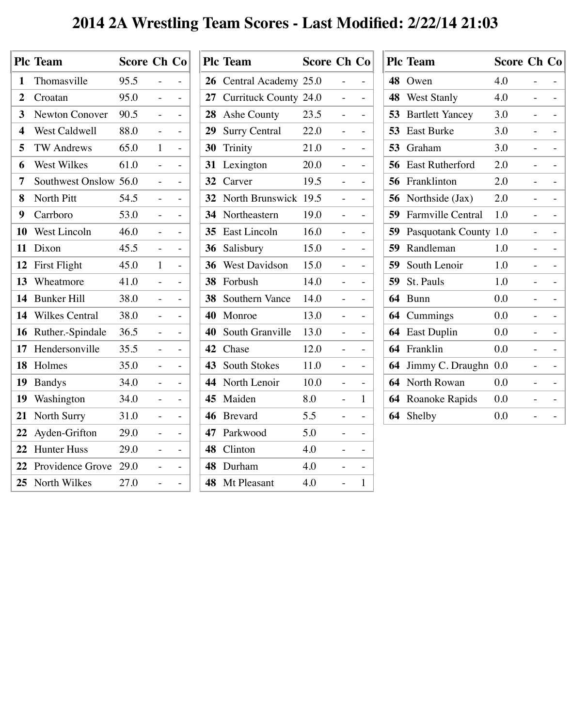## **2014 2A Wrestling Team Scores - Last Modified: 2/22/14 21:03**

|                  | <b>Plc Team</b>       | <b>Score Ch Co</b> |   |  |
|------------------|-----------------------|--------------------|---|--|
| 1                | Thomasville           | 95.5               |   |  |
| $\boldsymbol{2}$ | Croatan               | 95.0               |   |  |
| $\mathbf{3}$     | <b>Newton Conover</b> | 90.5               |   |  |
| 4                | West Caldwell         | 88.0               |   |  |
| 5                | <b>TW Andrews</b>     | 65.0               | 1 |  |
| 6                | West Wilkes           | 61.0               |   |  |
| 7                | Southwest Onslow      | 56.0               |   |  |
| 8                | North Pitt            | 54.5               |   |  |
| 9                | Carrboro              | 53.0               |   |  |
| 10               | <b>West Lincoln</b>   | 46.0               |   |  |
| 11               | Dixon                 | 45.5               |   |  |
| 12               | First Flight          | 45.0               | 1 |  |
| 13               | Wheatmore             | 41.0               |   |  |
| 14               | <b>Bunker Hill</b>    | 38.0               |   |  |
| 14               | <b>Wilkes Central</b> | 38.0               |   |  |
| 16               | Ruther.-Spindale      | 36.5               |   |  |
| 17               | Hendersonville        | 35.5               |   |  |
| 18               | Holmes                | 35.0               |   |  |
| 19               | <b>Bandys</b>         | 34.0               |   |  |
| 19               | Washington            | 34.0               |   |  |
| 21               | <b>North Surry</b>    | 31.0               |   |  |
| 22               | Ayden-Grifton         | 29.0               |   |  |
| 22               | <b>Hunter Huss</b>    | 29.0               |   |  |
| 22               | Providence Grove      | 29.0               |   |  |
|                  | 25 North Wilkes       | 27.0               |   |  |

|                 | <b>Plc Team</b>              | <b>Score Ch Co</b> |                          |
|-----------------|------------------------------|--------------------|--------------------------|
| 26              | Central Academy 25.0         |                    |                          |
| 27              | <b>Currituck County 24.0</b> |                    |                          |
| 28              | Ashe County                  | 23.5               |                          |
| 29              | <b>Surry Central</b>         | 22.0               |                          |
| 30              | Trinity                      | 21.0               |                          |
| 31              | Lexington                    | 20.0               |                          |
| 32              | Carver                       | 19.5               |                          |
| 32 <sup>2</sup> | North Brunswick              | 19.5               |                          |
| 34              | Northeastern                 | 19.0               |                          |
| 35 <sup>5</sup> | <b>East Lincoln</b>          | 16.0               |                          |
| 36              | Salisbury                    | 15.0               |                          |
| 36              | <b>West Davidson</b>         | 15.0               |                          |
| 38              | Forbush                      | 14.0               | $\overline{\phantom{0}}$ |
| <b>38</b>       | <b>Southern Vance</b>        | 14.0               |                          |
| 40              | Monroe                       | 13.0               |                          |
| 40              | South Granville              | 13.0               |                          |
|                 | 42 Chase                     | 12.0               |                          |
| 43              | <b>South Stokes</b>          | 11.0               |                          |
| 44              | North Lenoir                 | 10.0               |                          |
| 45              | Maiden                       | 8.0                | 1                        |
| 46              | <b>Brevard</b>               | 5.5                |                          |
| 47              | Parkwood                     | 5.0                |                          |
| 48              | Clinton                      | 4.0                |                          |
| 48              | Durham                       | 4.0                |                          |
| 48              | Mt Pleasant                  | 4.0                | $\mathbf{1}$             |

|    | <b>Plc Team</b>          | <b>Score Ch Co</b> |  |
|----|--------------------------|--------------------|--|
| 48 | Owen                     | 4.0                |  |
| 48 | <b>West Stanly</b>       | 4.0                |  |
| 53 | <b>Bartlett Yancey</b>   | 3.0                |  |
| 53 | <b>East Burke</b>        | 3.0                |  |
| 53 | Graham                   | 3.0                |  |
| 56 | <b>East Rutherford</b>   | 2.0                |  |
| 56 | Franklinton              | 2.0                |  |
| 56 | Northside (Jax)          | 2.0                |  |
| 59 | <b>Farmville Central</b> | 1.0                |  |
| 59 | <b>Pasquotank County</b> | 1.0                |  |
| 59 | Randleman                | 1.0                |  |
| 59 | South Lenoir             | 1.0                |  |
| 59 | St. Pauls                | 1.0                |  |
| 64 | <b>Bunn</b>              | 0.0                |  |
| 64 | Cummings                 | 0.0                |  |
| 64 | <b>East Duplin</b>       | $0.0\,$            |  |
| 64 | Franklin                 | 0.0                |  |
| 64 | Jimmy C. Draughn         | 0.0                |  |
| 64 | North Rowan              | $0.0\,$            |  |
| 64 | <b>Roanoke Rapids</b>    | $0.0\,$            |  |
|    | <b>64</b> Shelby         | 0.0                |  |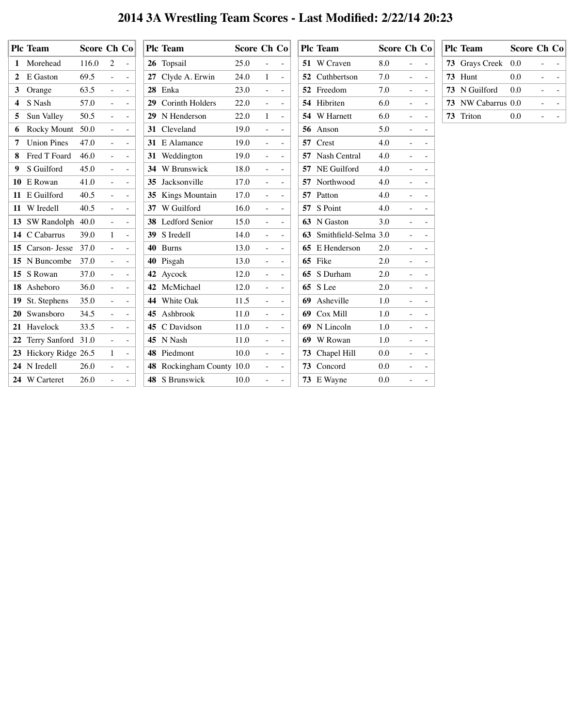## **2014 3A Wrestling Team Scores - Last Modified: 2/22/14 20:23**

|   | <b>Plc Team</b>        | Score Ch Co |                |                                                        | <b>Plc Team</b>           | Score Ch Co |                          |                                                   |  | <b>Plc Team</b>         |         | Score Ch Co                        | <b>Plc Team</b>    | Score Ch Co |                          |  |
|---|------------------------|-------------|----------------|--------------------------------------------------------|---------------------------|-------------|--------------------------|---------------------------------------------------|--|-------------------------|---------|------------------------------------|--------------------|-------------|--------------------------|--|
|   | 1 Morehead             | 116.0       | $\overline{2}$ | $\sim$                                                 | 26 Topsail                | 25.0        |                          | $\sim$                                            |  | 51 W Craven             | 8.0     | $\omega_{\rm{max}}=0.5$            | 73 Grays Creek 0.0 |             |                          |  |
|   | 2 E Gaston             | 69.5        | $\equiv$       | $\mathcal{L}_{\rm{max}}$                               | 27 Clyde A. Erwin         | 24.0        |                          | $\mathcal{L}^{\pm}$                               |  | <b>52</b> Cuthbertson   | 7.0     | $\omega_{\rm{max}}=0.5$            | 73 Hunt            | 0.0         | $\equiv$                 |  |
|   | 3 Orange               | 63.5        | $\sim$         | $\sim$ $-$                                             | 28 Enka                   | 23.0        | $\equiv$                 | $\sim$                                            |  | 52 Freedom              | 7.0     | $\omega_{\rm{max}}=0.000$          | 73 N Guilford      | 0.0         | $\overline{\phantom{a}}$ |  |
|   | 4 S Nash               | 57.0        |                | $\sim$                                                 | 29 Corinth Holders        | 22.0        |                          | $\sim$                                            |  | 54 Hibriten             | 6.0     | $\sim$<br>$\equiv$                 | 73 NW Cabarrus 0.0 |             |                          |  |
|   | Sun Valley             | 50.5        | $\equiv$       | $\sim$                                                 | 29 N Henderson            | 22.0        |                          | $\blacksquare$                                    |  | 54 W Harnett            | 6.0     | $\equiv$                           | 73 Triton          | 0.0         |                          |  |
|   | <b>Rocky Mount</b>     | 50.0        | $\equiv$       | $\sim$                                                 | 31 Cleveland              | 19.0        | $\equiv$                 | $\sim$                                            |  | 56 Anson                | 5.0     | $\equiv$<br>$\equiv$               |                    |             |                          |  |
|   | <b>Union Pines</b>     | 47.0        | $\equiv$       | $\sim$                                                 | 31 E Alamance             | 19.0        | $\equiv$                 | $\sim$                                            |  | 57 Crest                | 4.0     | $\sim$<br>$\frac{1}{2}$            |                    |             |                          |  |
| 8 | Fred T Foard           | 46.0        | $\frac{1}{2}$  | $\sim 100$                                             | 31 Weddington             | 19.0        | $\sim$                   | $\sim$                                            |  | 57 Nash Central         | 4.0     | $\sim$                             |                    |             |                          |  |
|   | 9 S Guilford           | 45.0        | $\equiv$       | $\sim$                                                 | 34 W Brunswick            | 18.0        | $\equiv$                 | $\sim$                                            |  | 57 NE Guilford          | 4.0     | $\sim$<br>$\sim$                   |                    |             |                          |  |
|   | 10 E Rowan             | 41.0        |                | $\sim$                                                 | 35 Jacksonville           | 17.0        | $\equiv$                 | $\sim$                                            |  | 57 Northwood            | 4.0     | $\sim$<br>$\sim$                   |                    |             |                          |  |
|   | 11 E Guilford          | 40.5        | $\overline{a}$ | $\sim$                                                 | 35 Kings Mountain         | 17.0        | $\equiv$                 | $\sim$                                            |  | 57 Patton               | 4.0     | $\sim$<br>$\equiv$                 |                    |             |                          |  |
|   | 11 W Iredell           | 40.5        |                | $\sim$                                                 | 37 W Guilford             | 16.0        | $\sim$                   | $\sim$                                            |  | 57 S Point              | 4.0     | $\sim$                             |                    |             |                          |  |
|   | 13 SW Randolph 40.0    |             |                | $\sim$                                                 | 38 Ledford Senior         | 15.0        | $\sim$                   | $\equiv$                                          |  | 63 N Gaston             | 3.0     | $\omega_{\rm{max}}=0.5$            |                    |             |                          |  |
|   | 14 C Cabarrus          | 39.0        |                | $\sim$                                                 | 39 S Iredell              | 14.0        | $\equiv$                 | $\sim$                                            |  | 63 Smithfield-Selma 3.0 |         |                                    |                    |             |                          |  |
|   | <b>15</b> Carson-Jesse | 37.0        |                | $\sim$                                                 | 40 Burns                  | 13.0        |                          | $\sim$                                            |  | 65 E Henderson          | 2.0     |                                    |                    |             |                          |  |
|   | 15 N Buncombe          | 37.0        |                | $\sim$                                                 | 40 Pisgah                 | 13.0        |                          | $\sim$                                            |  | 65 Fike                 | 2.0     |                                    |                    |             |                          |  |
|   | 15 S Rowan             | 37.0        |                |                                                        | 42 Aycock                 | 12.0        |                          |                                                   |  | 65 S Durham             | 2.0     |                                    |                    |             |                          |  |
|   | 18 Asheboro            | 36.0        | $\equiv$ .     | $\left\vert -\right\rangle$                            | 42 McMichael              | 12.0        | $\sim$                   | $\sim$ $-$                                        |  | 65 S Lee                | 2.0     | $\sim$<br>$\sim$                   |                    |             |                          |  |
|   | 19 St. Stephens        | 35.0        |                | $\mathcal{L}^{\mathcal{L}}(\mathcal{L}^{\mathcal{L}})$ | 44 White Oak              | 11.5        |                          | $\frac{1}{2}$ and $\frac{1}{2}$ and $\frac{1}{2}$ |  | 69 Asheville            | 1.0     | $\frac{1}{2}$                      |                    |             |                          |  |
|   | 20 Swansboro           | 34.5        |                | $\sim 10^{-1}$                                         | 45 Ashbrook               | 11.0        |                          | $\omega_{\rm{max}}$                               |  | 69 Cox Mill             | 1.0     |                                    |                    |             |                          |  |
|   | 21 Havelock            | 33.5        |                | $\sim 10^{-1}$                                         | 45 C Davidson             | 11.0        | $\overline{\phantom{0}}$ | $\sim 100$                                        |  | 69 N Lincoln            | 1.0     | $\sim$<br>$ \,$                    |                    |             |                          |  |
|   | 22 Terry Sanford 31.0  |             |                | $\sim$                                                 | 45 N Nash                 | 11.0        | $\equiv$                 | $\sim$ $-$                                        |  | 69 W Rowan              | 1.0     | $\sim$<br>$\overline{\phantom{a}}$ |                    |             |                          |  |
|   | 23 Hickory Ridge 26.5  |             |                | $\left\langle -\right\rangle$                          | 48 Piedmont               | 10.0        | $\equiv$                 | $\mathbb{Z}^2$                                    |  | 73 Chapel Hill          | $0.0\,$ |                                    |                    |             |                          |  |
|   | 24 N Iredell           | 26.0        | $\frac{1}{2}$  | $\mathcal{L}^{\text{max}}_{\text{max}}$                | 48 Rockingham County 10.0 |             |                          | $\omega_{\rm{max}}$                               |  | 73 Concord              | $0.0\,$ | $\frac{1}{2}$<br>$\sim$            |                    |             |                          |  |
|   | 24 W Carteret          | 26.0        |                | $\sim$                                                 | 48 S Brunswick            | 10.0        | $\equiv$                 | $\mathcal{L}_{\rm{max}}$                          |  | 73 E Wayne              | $0.0\,$ | $\frac{1}{2}$<br>$\sim$            |                    |             |                          |  |